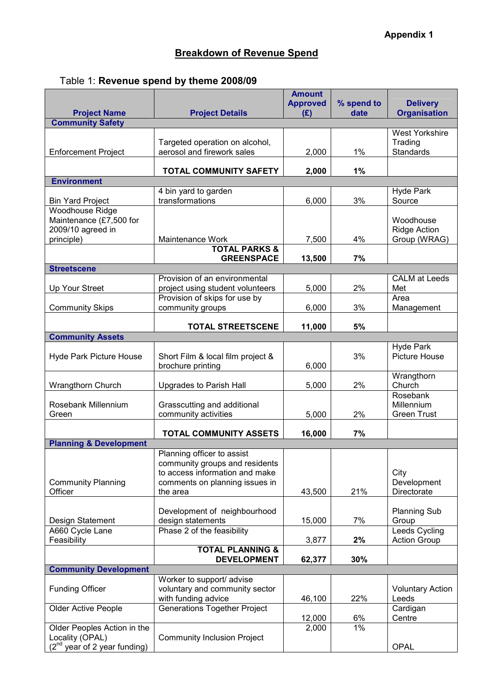## Breakdown of Revenue Spend

|  | Table 1: Revenue spend by theme 2008/09 |  |  |  |
|--|-----------------------------------------|--|--|--|
|--|-----------------------------------------|--|--|--|

| <b>Project Name</b>                                                           | <b>Project Details</b>                                       | <b>Amount</b><br><b>Approved</b><br>(E) | % spend to<br>date | <b>Delivery</b><br><b>Organisation</b>               |  |  |  |
|-------------------------------------------------------------------------------|--------------------------------------------------------------|-----------------------------------------|--------------------|------------------------------------------------------|--|--|--|
| <b>Community Safety</b>                                                       |                                                              |                                         |                    |                                                      |  |  |  |
| <b>Enforcement Project</b>                                                    | Targeted operation on alcohol,<br>aerosol and firework sales | 2,000                                   | 1%                 | <b>West Yorkshire</b><br>Trading<br><b>Standards</b> |  |  |  |
|                                                                               | <b>TOTAL COMMUNITY SAFETY</b>                                | 2,000                                   | 1%                 |                                                      |  |  |  |
| <b>Environment</b>                                                            |                                                              |                                         |                    |                                                      |  |  |  |
|                                                                               | 4 bin yard to garden                                         |                                         |                    | <b>Hyde Park</b>                                     |  |  |  |
| <b>Bin Yard Project</b>                                                       | transformations                                              | 6,000                                   | 3%                 | Source                                               |  |  |  |
| Woodhouse Ridge<br>Maintenance (£7,500 for<br>2009/10 agreed in<br>principle) | Maintenance Work                                             | 7,500                                   | 4%                 | Woodhouse<br><b>Ridge Action</b><br>Group (WRAG)     |  |  |  |
|                                                                               | <b>TOTAL PARKS &amp;</b>                                     |                                         |                    |                                                      |  |  |  |
|                                                                               | <b>GREENSPACE</b>                                            | 13,500                                  | 7%                 |                                                      |  |  |  |
| <b>Streetscene</b>                                                            |                                                              |                                         |                    |                                                      |  |  |  |
|                                                                               | Provision of an environmental                                |                                         |                    | <b>CALM</b> at Leeds                                 |  |  |  |
| Up Your Street                                                                | project using student volunteers                             | 5,000                                   | 2%                 | Met                                                  |  |  |  |
|                                                                               | Provision of skips for use by                                |                                         |                    | Area                                                 |  |  |  |
| <b>Community Skips</b>                                                        | community groups                                             | 6,000                                   | 3%                 | Management                                           |  |  |  |
|                                                                               | <b>TOTAL STREETSCENE</b>                                     | 11,000                                  | 5%                 |                                                      |  |  |  |
| <b>Community Assets</b>                                                       |                                                              |                                         |                    |                                                      |  |  |  |
| <b>Hyde Park Picture House</b>                                                | Short Film & local film project &<br>brochure printing       | 6,000                                   | 3%                 | <b>Hyde Park</b><br><b>Picture House</b>             |  |  |  |
| Wrangthorn Church                                                             | Upgrades to Parish Hall                                      | 5,000                                   | 2%                 | Wrangthorn<br>Church                                 |  |  |  |
|                                                                               |                                                              |                                         |                    | Rosebank                                             |  |  |  |
| Rosebank Millennium                                                           | Grasscutting and additional                                  |                                         |                    | Millennium                                           |  |  |  |
| Green                                                                         | community activities                                         | 5,000                                   | 2%                 | <b>Green Trust</b>                                   |  |  |  |
|                                                                               | TOTAL COMMUNITY ASSETS                                       | 16,000                                  | 7%                 |                                                      |  |  |  |
| <b>Planning &amp; Development</b>                                             |                                                              |                                         |                    |                                                      |  |  |  |
|                                                                               | Planning officer to assist<br>community groups and residents |                                         |                    |                                                      |  |  |  |
|                                                                               | to access information and make                               |                                         |                    | City                                                 |  |  |  |
| <b>Community Planning</b>                                                     | comments on planning issues in                               |                                         |                    | Development                                          |  |  |  |
| Officer                                                                       | the area                                                     | 43,500                                  | 21%                | Directorate                                          |  |  |  |
| Design Statement                                                              | Development of neighbourhood<br>design statements            | 15,000                                  | 7%                 | <b>Planning Sub</b><br>Group                         |  |  |  |
| A660 Cycle Lane                                                               | Phase 2 of the feasibility                                   |                                         |                    | Leeds Cycling                                        |  |  |  |
| Feasibility                                                                   |                                                              | 3,877                                   | 2%                 | <b>Action Group</b>                                  |  |  |  |
|                                                                               | <b>TOTAL PLANNING &amp;</b><br><b>DEVELOPMENT</b>            | 62,377                                  | 30%                |                                                      |  |  |  |
| <b>Community Development</b>                                                  |                                                              |                                         |                    |                                                      |  |  |  |
| <b>Funding Officer</b>                                                        | Worker to support/ advise<br>voluntary and community sector  |                                         |                    | <b>Voluntary Action</b>                              |  |  |  |
|                                                                               | with funding advice                                          | 46,100                                  | 22%                | Leeds                                                |  |  |  |
| <b>Older Active People</b>                                                    | <b>Generations Together Project</b>                          |                                         |                    | Cardigan                                             |  |  |  |
|                                                                               |                                                              | 12,000                                  | 6%                 | Centre                                               |  |  |  |
| Older Peoples Action in the<br>Locality (OPAL)                                | <b>Community Inclusion Project</b>                           | 2,000                                   | $1\%$              |                                                      |  |  |  |
| $(2^{nd}$ year of 2 year funding)                                             |                                                              |                                         |                    | <b>OPAL</b>                                          |  |  |  |